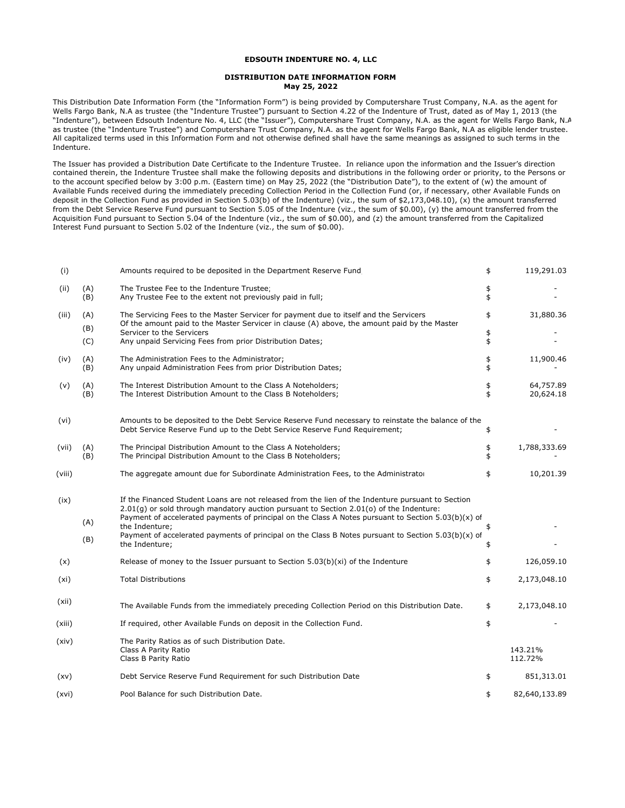## **EDSOUTH INDENTURE NO. 4, LLC**

## **DISTRIBUTION DATE INFORMATION FORM May 25, 2022**

This Distribution Date Information Form (the "Information Form") is being provided by Computershare Trust Company, N.A. as the agent for Wells Fargo Bank, N.A as trustee (the "Indenture Trustee") pursuant to Section 4.22 of the Indenture of Trust, dated as of May 1, 2013 (the "Indenture"), between Edsouth Indenture No. 4, LLC (the "Issuer"), Computershare Trust Company, N.A. as the agent for Wells Fargo Bank, N.A as trustee (the "Indenture Trustee") and Computershare Trust Company, N.A. as the agent for Wells Fargo Bank, N.A as eligible lender trustee. All capitalized terms used in this Information Form and not otherwise defined shall have the same meanings as assigned to such terms in the Indenture.

The Issuer has provided a Distribution Date Certificate to the Indenture Trustee. In reliance upon the information and the Issuer's direction contained therein, the Indenture Trustee shall make the following deposits and distributions in the following order or priority, to the Persons or to the account specified below by 3:00 p.m. (Eastern time) on May 25, 2022 (the "Distribution Date"), to the extent of (w) the amount of Available Funds received during the immediately preceding Collection Period in the Collection Fund (or, if necessary, other Available Funds on deposit in the Collection Fund as provided in Section 5.03(b) of the Indenture) (viz., the sum of \$2,173,048.10), (x) the amount transferred from the Debt Service Reserve Fund pursuant to Section 5.05 of the Indenture (viz., the sum of \$0.00), (y) the amount transferred from the Acquisition Fund pursuant to Section 5.04 of the Indenture (viz., the sum of \$0.00), and (z) the amount transferred from the Capitalized Interest Fund pursuant to Section 5.02 of the Indenture (viz., the sum of \$0.00).

| (i)    |            | Amounts required to be deposited in the Department Reserve Fund                                                                                                                                                                                                                                         | \$       | 119,291.03             |
|--------|------------|---------------------------------------------------------------------------------------------------------------------------------------------------------------------------------------------------------------------------------------------------------------------------------------------------------|----------|------------------------|
| (ii)   | (A)<br>(B) | The Trustee Fee to the Indenture Trustee;<br>Any Trustee Fee to the extent not previously paid in full;                                                                                                                                                                                                 | \$<br>\$ |                        |
| (iii)  | (A)<br>(B) | The Servicing Fees to the Master Servicer for payment due to itself and the Servicers<br>Of the amount paid to the Master Servicer in clause (A) above, the amount paid by the Master                                                                                                                   | \$       | 31,880.36              |
|        | (C)        | Servicer to the Servicers<br>Any unpaid Servicing Fees from prior Distribution Dates;                                                                                                                                                                                                                   | \$<br>\$ |                        |
| (iv)   | (A)<br>(B) | The Administration Fees to the Administrator;<br>Any unpaid Administration Fees from prior Distribution Dates;                                                                                                                                                                                          | \$<br>\$ | 11,900.46              |
| (v)    | (A)<br>(B) | The Interest Distribution Amount to the Class A Noteholders;<br>The Interest Distribution Amount to the Class B Noteholders;                                                                                                                                                                            | \$<br>\$ | 64,757.89<br>20,624.18 |
| (vi)   |            | Amounts to be deposited to the Debt Service Reserve Fund necessary to reinstate the balance of the<br>Debt Service Reserve Fund up to the Debt Service Reserve Fund Requirement;                                                                                                                        | \$       |                        |
| (vii)  | (A)<br>(B) | The Principal Distribution Amount to the Class A Noteholders;<br>The Principal Distribution Amount to the Class B Noteholders;                                                                                                                                                                          | \$<br>\$ | 1,788,333.69           |
| (viii) |            | The aggregate amount due for Subordinate Administration Fees, to the Administrator                                                                                                                                                                                                                      | \$       | 10,201.39              |
| (ix)   |            | If the Financed Student Loans are not released from the lien of the Indenture pursuant to Section<br>$2.01(q)$ or sold through mandatory auction pursuant to Section 2.01(o) of the Indenture:<br>Payment of accelerated payments of principal on the Class A Notes pursuant to Section $5.03(b)(x)$ of |          |                        |
|        | (A)        | the Indenture:                                                                                                                                                                                                                                                                                          | \$       |                        |
|        | (B)        | Payment of accelerated payments of principal on the Class B Notes pursuant to Section $5.03(b)(x)$ of<br>the Indenture;                                                                                                                                                                                 | \$       |                        |
| (x)    |            | Release of money to the Issuer pursuant to Section $5.03(b)(xi)$ of the Indenture                                                                                                                                                                                                                       | \$       | 126,059.10             |
| (xi)   |            | <b>Total Distributions</b>                                                                                                                                                                                                                                                                              | \$       | 2,173,048.10           |
| (xii)  |            | The Available Funds from the immediately preceding Collection Period on this Distribution Date.                                                                                                                                                                                                         | \$       | 2,173,048.10           |
| (xiii) |            | If required, other Available Funds on deposit in the Collection Fund.                                                                                                                                                                                                                                   | \$       |                        |
| (xiv)  |            | The Parity Ratios as of such Distribution Date.<br>Class A Parity Ratio<br>Class B Parity Ratio                                                                                                                                                                                                         |          | 143.21%<br>112.72%     |
| (xv)   |            | Debt Service Reserve Fund Requirement for such Distribution Date                                                                                                                                                                                                                                        | \$       | 851,313.01             |
| (xvi)  |            | Pool Balance for such Distribution Date.                                                                                                                                                                                                                                                                | \$       | 82,640,133.89          |